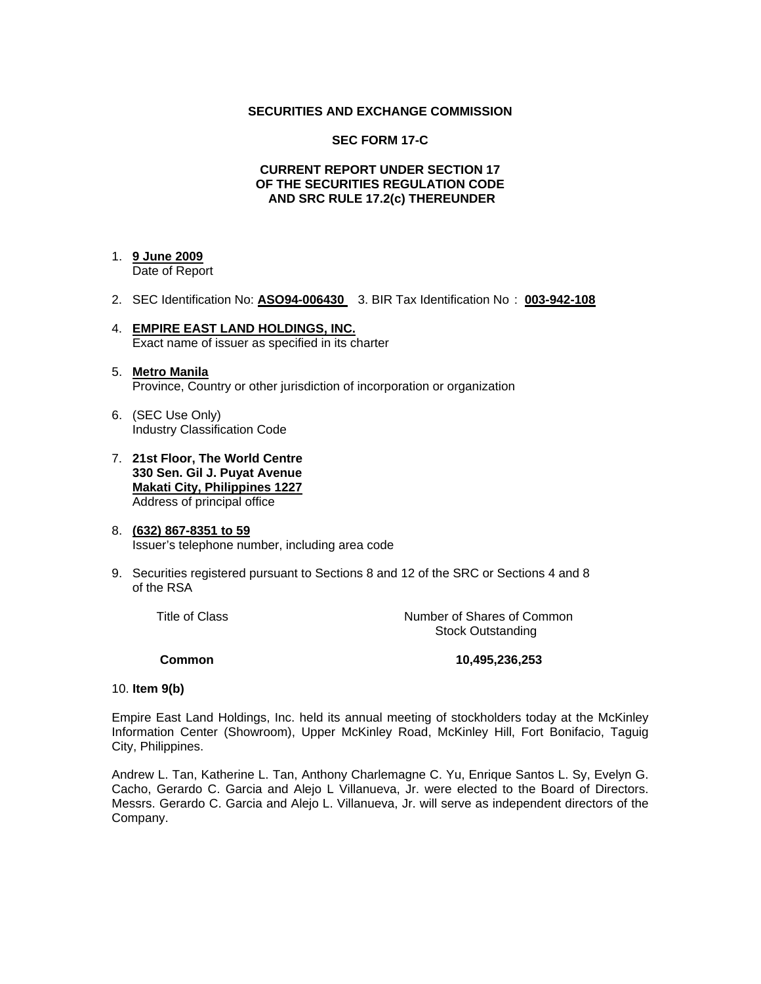# **SECURITIES AND EXCHANGE COMMISSION**

# **SEC FORM 17-C**

# **CURRENT REPORT UNDER SECTION 17 OF THE SECURITIES REGULATION CODE AND SRC RULE 17.2(c) THEREUNDER**

# 1. **9 June 2009**

Date of Report

- 2. SEC Identification No: **ASO94-006430** 3. BIR Tax Identification No : **003-942-108**
- 4. **EMPIRE EAST LAND HOLDINGS, INC.** Exact name of issuer as specified in its charter
- 5. **Metro Manila** Province, Country or other jurisdiction of incorporation or organization
- 6. (SEC Use Only) Industry Classification Code
- 7. **21st Floor, The World Centre 330 Sen. Gil J. Puyat Avenue Makati City, Philippines 1227** Address of principal office
- 8. **(632) 867-8351 to 59** Issuer's telephone number, including area code
- 9. Securities registered pursuant to Sections 8 and 12 of the SRC or Sections 4 and 8 of the RSA

Title of Class **Number of Shares of Common** Stock Outstanding

### **Common 10,495,236,253**

### 10. **Item 9(b)**

Empire East Land Holdings, Inc. held its annual meeting of stockholders today at the McKinley Information Center (Showroom), Upper McKinley Road, McKinley Hill, Fort Bonifacio, Taguig City, Philippines.

Andrew L. Tan, Katherine L. Tan, Anthony Charlemagne C. Yu, Enrique Santos L. Sy, Evelyn G. Cacho, Gerardo C. Garcia and Alejo L Villanueva, Jr. were elected to the Board of Directors. Messrs. Gerardo C. Garcia and Alejo L. Villanueva, Jr. will serve as independent directors of the Company.